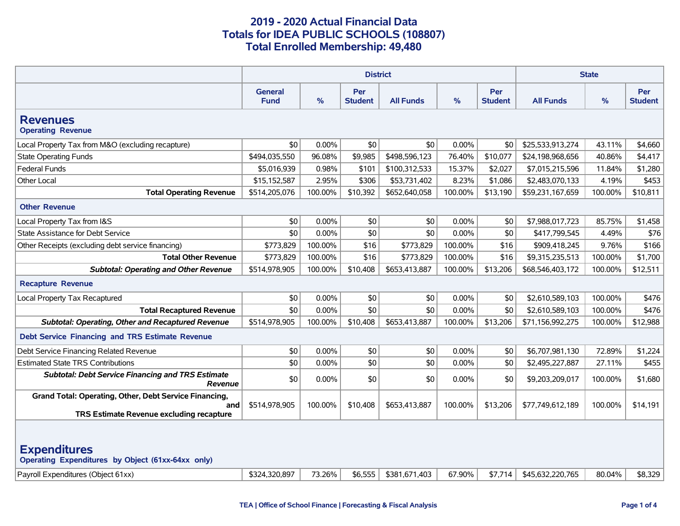|                                                                                                                                                                                                                                     | <b>District</b>               |          |                       |                  |               | <b>State</b>                 |                  |         |                              |
|-------------------------------------------------------------------------------------------------------------------------------------------------------------------------------------------------------------------------------------|-------------------------------|----------|-----------------------|------------------|---------------|------------------------------|------------------|---------|------------------------------|
|                                                                                                                                                                                                                                     | <b>General</b><br><b>Fund</b> | %        | Per<br><b>Student</b> | <b>All Funds</b> | $\frac{9}{6}$ | <b>Per</b><br><b>Student</b> | <b>All Funds</b> | %       | <b>Per</b><br><b>Student</b> |
| <b>Revenues</b><br><b>Operating Revenue</b>                                                                                                                                                                                         |                               |          |                       |                  |               |                              |                  |         |                              |
| Local Property Tax from M&O (excluding recapture)                                                                                                                                                                                   | \$0                           | $0.00\%$ | \$0                   | \$0              | 0.00%         | \$0                          | \$25,533,913,274 | 43.11%  | \$4,660                      |
| <b>State Operating Funds</b>                                                                                                                                                                                                        | \$494,035,550                 | 96.08%   | \$9,985               | \$498,596,123    | 76.40%        | \$10,077                     | \$24,198,968,656 | 40.86%  | \$4,417                      |
| <b>Federal Funds</b>                                                                                                                                                                                                                | \$5,016,939                   | 0.98%    | \$101                 | \$100,312,533    | 15.37%        | \$2,027                      | \$7,015,215,596  | 11.84%  | \$1,280                      |
| Other Local                                                                                                                                                                                                                         | \$15,152,587                  | 2.95%    | \$306                 | \$53,731,402     | 8.23%         | \$1,086                      | \$2,483,070,133  | 4.19%   | \$453                        |
| <b>Total Operating Revenue</b>                                                                                                                                                                                                      | \$514,205,076                 | 100.00%  | \$10,392              | \$652,640,058    | 100.00%       | \$13,190                     | \$59,231,167,659 | 100.00% | \$10,811                     |
| <b>Other Revenue</b>                                                                                                                                                                                                                |                               |          |                       |                  |               |                              |                  |         |                              |
| Local Property Tax from I&S                                                                                                                                                                                                         | \$0                           | 0.00%    | \$0                   | \$0              | 0.00%         | \$0                          | \$7,988,017,723  | 85.75%  | \$1,458                      |
| State Assistance for Debt Service                                                                                                                                                                                                   | \$0                           | 0.00%    | \$0                   | \$0              | 0.00%         | \$0                          | \$417,799,545    | 4.49%   | \$76                         |
| Other Receipts (excluding debt service financing)                                                                                                                                                                                   | \$773,829                     | 100.00%  | \$16                  | \$773,829        | 100.00%       | \$16                         | \$909,418,245    | 9.76%   | \$166                        |
| <b>Total Other Revenue</b>                                                                                                                                                                                                          | \$773,829                     | 100.00%  | \$16                  | \$773,829        | 100.00%       | \$16                         | \$9,315,235,513  | 100.00% | \$1,700                      |
| <b>Subtotal: Operating and Other Revenue</b>                                                                                                                                                                                        | \$514,978,905                 | 100.00%  | \$10,408              | \$653,413,887    | 100.00%       | \$13,206                     | \$68,546,403,172 | 100.00% | \$12,511                     |
| <b>Recapture Revenue</b>                                                                                                                                                                                                            |                               |          |                       |                  |               |                              |                  |         |                              |
| Local Property Tax Recaptured                                                                                                                                                                                                       | \$0                           | 0.00%    | \$0                   | \$0              | 0.00%         | \$0                          | \$2,610,589,103  | 100.00% | \$476                        |
| <b>Total Recaptured Revenue</b>                                                                                                                                                                                                     | \$0                           | 0.00%    | \$0                   | \$0              | 0.00%         | \$0                          | \$2,610,589,103  | 100.00% | \$476                        |
| <b>Subtotal: Operating, Other and Recaptured Revenue</b>                                                                                                                                                                            | \$514,978,905                 | 100.00%  | \$10,408              | \$653,413,887    | 100.00%       | \$13,206                     | \$71,156,992,275 | 100.00% | \$12,988                     |
| <b>Debt Service Financing and TRS Estimate Revenue</b>                                                                                                                                                                              |                               |          |                       |                  |               |                              |                  |         |                              |
| Debt Service Financing Related Revenue                                                                                                                                                                                              | \$0                           | 0.00%    | \$0                   | \$0              | 0.00%         | \$0                          | \$6,707,981,130  | 72.89%  | \$1,224                      |
| <b>Estimated State TRS Contributions</b>                                                                                                                                                                                            | \$0                           | 0.00%    | \$0                   | \$0              | 0.00%         | \$0                          | \$2,495,227,887  | 27.11%  | \$455                        |
| <b>Subtotal: Debt Service Financing and TRS Estimate</b><br><b>Revenue</b>                                                                                                                                                          | \$0                           | $0.00\%$ | \$0                   | \$0              | 0.00%         | \$0                          | \$9,203,209,017  | 100.00% | \$1,680                      |
| Grand Total: Operating, Other, Debt Service Financing,<br>and<br>TRS Estimate Revenue excluding recapture                                                                                                                           | \$514,978,905                 | 100.00%  | \$10,408              | \$653,413,887    | 100.00%       | \$13,206                     | \$77,749,612,189 | 100.00% | \$14,191                     |
| <b>Expenditures</b><br>Operating Expenditures by Object (61xx-64xx only)<br>73.26%<br>\$381,671,403<br>67.90%<br>\$8,329<br>Payroll Expenditures (Object 61xx)<br>\$324,320,897<br>\$6,555<br>\$7,714<br>\$45,632,220,765<br>80.04% |                               |          |                       |                  |               |                              |                  |         |                              |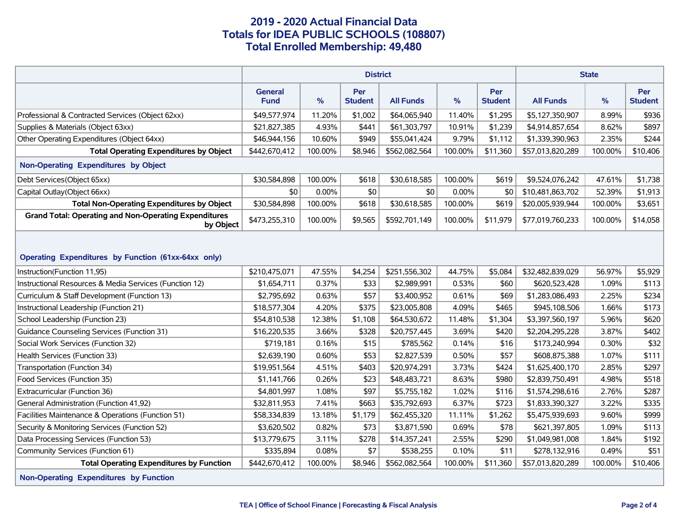|                                                                                    | <b>District</b>               |         |                       |                  |               | <b>State</b>          |                  |               |                       |
|------------------------------------------------------------------------------------|-------------------------------|---------|-----------------------|------------------|---------------|-----------------------|------------------|---------------|-----------------------|
|                                                                                    | <b>General</b><br><b>Fund</b> | %       | Per<br><b>Student</b> | <b>All Funds</b> | $\frac{9}{6}$ | Per<br><b>Student</b> | <b>All Funds</b> | $\frac{9}{6}$ | Per<br><b>Student</b> |
| Professional & Contracted Services (Object 62xx)                                   | \$49,577,974                  | 11.20%  | \$1,002               | \$64,065,940     | 11.40%        | \$1,295               | \$5,127,350,907  | 8.99%         | \$936                 |
| Supplies & Materials (Object 63xx)                                                 | \$21,827,385                  | 4.93%   | \$441                 | \$61,303,797     | 10.91%        | \$1,239               | \$4,914,857,654  | 8.62%         | \$897                 |
| Other Operating Expenditures (Object 64xx)                                         | \$46,944,156                  | 10.60%  | \$949                 | \$55,041,424     | 9.79%         | \$1,112               | \$1,339,390,963  | 2.35%         | \$244                 |
| <b>Total Operating Expenditures by Object</b>                                      | \$442,670,412                 | 100.00% | \$8,946               | \$562,082,564    | 100.00%       | \$11,360              | \$57,013,820,289 | 100.00%       | \$10,406              |
| Non-Operating Expenditures by Object                                               |                               |         |                       |                  |               |                       |                  |               |                       |
| Debt Services(Object 65xx)                                                         | \$30,584,898                  | 100.00% | \$618                 | \$30,618,585     | 100.00%       | \$619                 | \$9,524,076,242  | 47.61%        | \$1,738               |
| Capital Outlay (Object 66xx)                                                       | \$0                           | 0.00%   | \$0                   | \$0              | 0.00%         | \$0                   | \$10,481,863,702 | 52.39%        | \$1,913               |
| <b>Total Non-Operating Expenditures by Object</b>                                  | \$30,584,898                  | 100.00% | \$618                 | \$30,618,585     | 100.00%       | \$619                 | \$20,005,939,944 | 100.00%       | \$3,651               |
| <b>Grand Total: Operating and Non-Operating Expenditures</b><br>by Object          | \$473,255,310                 | 100.00% | \$9,565               | \$592,701,149    | 100.00%       | \$11,979              | \$77,019,760,233 | 100.00%       | \$14,058              |
| Operating Expenditures by Function (61xx-64xx only)<br>Instruction(Function 11,95) | \$210,475,071                 | 47.55%  | \$4,254               | \$251,556,302    | 44.75%        | \$5,084               | \$32,482,839,029 | 56.97%        | \$5,929               |
| Instructional Resources & Media Services (Function 12)                             | \$1,654,711                   | 0.37%   | \$33                  | \$2,989,991      | 0.53%         | \$60                  | \$620,523,428    | 1.09%         | \$113                 |
| Curriculum & Staff Development (Function 13)                                       | \$2,795,692                   | 0.63%   | \$57                  | \$3,400,952      | 0.61%         | \$69                  | \$1,283,086,493  | 2.25%         | \$234                 |
| Instructional Leadership (Function 21)                                             | \$18,577,304                  | 4.20%   | \$375                 | \$23,005,808     | 4.09%         | \$465                 | \$945,108,506    | 1.66%         | \$173                 |
| School Leadership (Function 23)                                                    | \$54,810,538                  | 12.38%  | \$1,108               | \$64,530,672     | 11.48%        | \$1,304               | \$3,397,560,197  | 5.96%         | \$620                 |
| Guidance Counseling Services (Function 31)                                         | \$16,220,535                  | 3.66%   | \$328                 | \$20,757,445     | 3.69%         | \$420                 | \$2,204,295,228  | 3.87%         | \$402                 |
| Social Work Services (Function 32)                                                 | \$719,181                     | 0.16%   | \$15                  | \$785,562        | 0.14%         | \$16                  | \$173,240,994    | 0.30%         | \$32                  |
| Health Services (Function 33)                                                      | \$2,639,190                   | 0.60%   | \$53                  | \$2,827,539      | 0.50%         | \$57                  | \$608,875,388    | 1.07%         | \$111                 |
| Transportation (Function 34)                                                       | \$19,951,564                  | 4.51%   | \$403                 | \$20,974,291     | 3.73%         | \$424                 | \$1,625,400,170  | 2.85%         | \$297                 |
| Food Services (Function 35)                                                        | \$1,141,766                   | 0.26%   | \$23                  | \$48,483,721     | 8.63%         | \$980                 | \$2,839,750,491  | 4.98%         | \$518                 |
| Extracurricular (Function 36)                                                      | \$4,801,997                   | 1.08%   | \$97                  | \$5,755,182      | 1.02%         | \$116                 | \$1,574,298,616  | 2.76%         | \$287                 |
| General Administration (Function 41,92)                                            | \$32,811,953                  | 7.41%   | \$663                 | \$35,792,693     | 6.37%         | \$723                 | \$1,833,390,327  | 3.22%         | \$335                 |
| Facilities Maintenance & Operations (Function 51)                                  | \$58,334,839                  | 13.18%  | \$1,179               | \$62,455,320     | 11.11%        | \$1,262               | \$5,475,939,693  | 9.60%         | \$999                 |
| Security & Monitoring Services (Function 52)                                       | \$3,620,502                   | 0.82%   | \$73                  | \$3,871,590      | 0.69%         | \$78                  | \$621,397,805    | 1.09%         | \$113                 |
| Data Processing Services (Function 53)                                             | \$13,779,675                  | 3.11%   | \$278                 | \$14,357,241     | 2.55%         | \$290                 | \$1,049,981,008  | 1.84%         | \$192                 |
| Community Services (Function 61)                                                   | \$335,894                     | 0.08%   | \$7                   | \$538,255        | 0.10%         | \$11                  | \$278,132,916    | 0.49%         | \$51                  |
| <b>Total Operating Expenditures by Function</b>                                    | \$442,670,412                 | 100.00% | \$8,946               | \$562,082,564    | 100.00%       | \$11,360              | \$57,013,820,289 | 100.00%       | \$10,406              |
| Non-Operating Expenditures by Function                                             |                               |         |                       |                  |               |                       |                  |               |                       |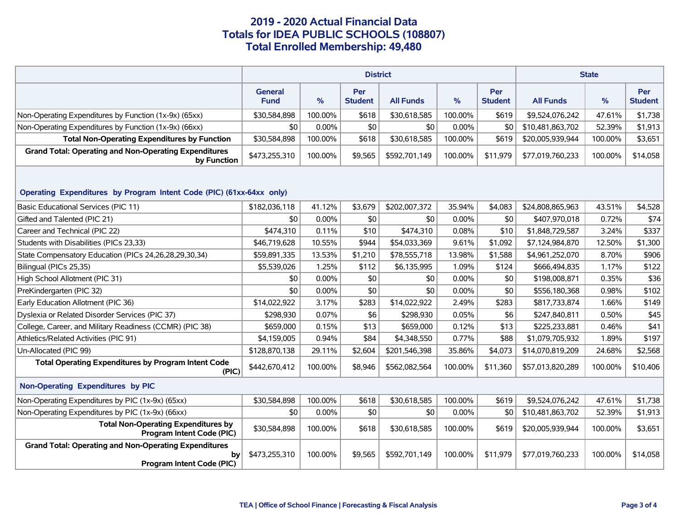|                                                                                                 | <b>District</b>               |         |                       |                  |         | <b>State</b>          |                  |         |                       |  |
|-------------------------------------------------------------------------------------------------|-------------------------------|---------|-----------------------|------------------|---------|-----------------------|------------------|---------|-----------------------|--|
|                                                                                                 | <b>General</b><br><b>Fund</b> | %       | Per<br><b>Student</b> | <b>All Funds</b> | $\%$    | Per<br><b>Student</b> | <b>All Funds</b> | %       | Per<br><b>Student</b> |  |
| Non-Operating Expenditures by Function (1x-9x) (65xx)                                           | \$30,584,898                  | 100.00% | \$618                 | \$30,618,585     | 100.00% | \$619                 | \$9,524,076,242  | 47.61%  | \$1,738               |  |
| Non-Operating Expenditures by Function (1x-9x) (66xx)                                           | \$0                           | 0.00%   | \$0                   | \$0              | 0.00%   | \$0                   | \$10,481,863,702 | 52.39%  | \$1,913               |  |
| <b>Total Non-Operating Expenditures by Function</b>                                             | \$30,584,898                  | 100.00% | \$618                 | \$30,618,585     | 100.00% | \$619                 | \$20,005,939,944 | 100.00% | \$3,651               |  |
| <b>Grand Total: Operating and Non-Operating Expenditures</b><br>by Function                     | \$473,255,310                 | 100.00% | \$9,565               | \$592,701,149    | 100.00% | \$11,979              | \$77,019,760,233 | 100.00% | \$14,058              |  |
| Operating Expenditures by Program Intent Code (PIC) (61xx-64xx only)                            |                               |         |                       |                  |         |                       |                  |         |                       |  |
| <b>Basic Educational Services (PIC 11)</b>                                                      | \$182,036,118                 | 41.12%  | \$3,679               | \$202,007,372    | 35.94%  | \$4,083               | \$24,808,865,963 | 43.51%  | \$4,528               |  |
| Gifted and Talented (PIC 21)                                                                    | \$0                           | 0.00%   | \$0                   | \$0              | 0.00%   | \$0                   | \$407,970,018    | 0.72%   | \$74                  |  |
| Career and Technical (PIC 22)                                                                   | \$474,310                     | 0.11%   | \$10                  | \$474,310        | 0.08%   | \$10                  | \$1,848,729,587  | 3.24%   | \$337                 |  |
| Students with Disabilities (PICs 23,33)                                                         | \$46,719,628                  | 10.55%  | \$944                 | \$54,033,369     | 9.61%   | \$1,092               | \$7,124,984,870  | 12.50%  | \$1,300               |  |
| State Compensatory Education (PICs 24, 26, 28, 29, 30, 34)                                      | \$59,891,335                  | 13.53%  | \$1,210               | \$78,555,718     | 13.98%  | \$1,588               | \$4,961,252,070  | 8.70%   | \$906                 |  |
| Bilingual (PICs 25,35)                                                                          | \$5,539,026                   | 1.25%   | \$112                 | \$6,135,995      | 1.09%   | \$124                 | \$666,494,835    | 1.17%   | \$122                 |  |
| High School Allotment (PIC 31)                                                                  | \$0                           | 0.00%   | \$0                   | \$0              | 0.00%   | \$0                   | \$198,008,871    | 0.35%   | \$36                  |  |
| PreKindergarten (PIC 32)                                                                        | \$0                           | 0.00%   | \$0                   | \$0              | 0.00%   | \$0                   | \$556,180,368    | 0.98%   | \$102                 |  |
| Early Education Allotment (PIC 36)                                                              | \$14,022,922                  | 3.17%   | \$283                 | \$14,022,922     | 2.49%   | \$283                 | \$817,733,874    | 1.66%   | \$149                 |  |
| Dyslexia or Related Disorder Services (PIC 37)                                                  | \$298,930                     | 0.07%   | \$6                   | \$298,930        | 0.05%   | \$6                   | \$247,840,811    | 0.50%   | \$45                  |  |
| College, Career, and Military Readiness (CCMR) (PIC 38)                                         | \$659,000                     | 0.15%   | \$13                  | \$659,000        | 0.12%   | \$13                  | \$225,233,881    | 0.46%   | \$41                  |  |
| Athletics/Related Activities (PIC 91)                                                           | \$4,159,005                   | 0.94%   | \$84                  | \$4,348,550      | 0.77%   | \$88                  | \$1,079,705,932  | 1.89%   | \$197                 |  |
| Un-Allocated (PIC 99)                                                                           | \$128,870,138                 | 29.11%  | \$2,604               | \$201,546,398    | 35.86%  | \$4,073               | \$14,070,819,209 | 24.68%  | \$2,568               |  |
| <b>Total Operating Expenditures by Program Intent Code</b><br>(PIC)                             | \$442,670,412                 | 100.00% | \$8,946               | \$562,082,564    | 100.00% | \$11,360              | \$57,013,820,289 | 100.00% | \$10,406              |  |
| Non-Operating Expenditures by PIC                                                               |                               |         |                       |                  |         |                       |                  |         |                       |  |
| Non-Operating Expenditures by PIC (1x-9x) (65xx)                                                | \$30,584,898                  | 100.00% | \$618                 | \$30,618,585     | 100.00% | \$619                 | \$9,524,076,242  | 47.61%  | \$1,738               |  |
| Non-Operating Expenditures by PIC (1x-9x) (66xx)                                                | \$0                           | 0.00%   | \$0                   | \$0              | 0.00%   | \$0                   | \$10,481,863,702 | 52.39%  | \$1,913               |  |
| <b>Total Non-Operating Expenditures by</b><br>Program Intent Code (PIC)                         | \$30,584,898                  | 100.00% | \$618                 | \$30,618,585     | 100.00% | \$619                 | \$20,005,939,944 | 100.00% | \$3,651               |  |
| <b>Grand Total: Operating and Non-Operating Expenditures</b><br>by<br>Program Intent Code (PIC) | \$473,255,310                 | 100.00% | \$9,565               | \$592,701,149    | 100.00% | \$11,979              | \$77,019,760,233 | 100.00% | \$14,058              |  |